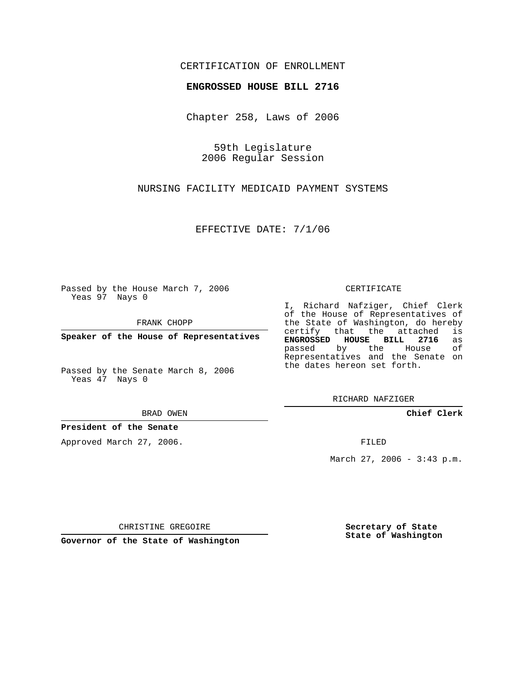### CERTIFICATION OF ENROLLMENT

#### **ENGROSSED HOUSE BILL 2716**

Chapter 258, Laws of 2006

59th Legislature 2006 Regular Session

NURSING FACILITY MEDICAID PAYMENT SYSTEMS

EFFECTIVE DATE: 7/1/06

Passed by the House March 7, 2006 Yeas 97 Nays 0

FRANK CHOPP

**Speaker of the House of Representatives**

Passed by the Senate March 8, 2006 Yeas 47 Nays 0

BRAD OWEN

#### **President of the Senate**

Approved March 27, 2006.

CERTIFICATE

I, Richard Nafziger, Chief Clerk of the House of Representatives of the State of Washington, do hereby<br>certify that the attached is certify that the attached **ENGROSSED HOUSE BILL 2716** as passed by the House Representatives and the Senate on the dates hereon set forth.

RICHARD NAFZIGER

**Chief Clerk**

FILED

March 27, 2006 - 3:43 p.m.

CHRISTINE GREGOIRE

**Governor of the State of Washington**

**Secretary of State State of Washington**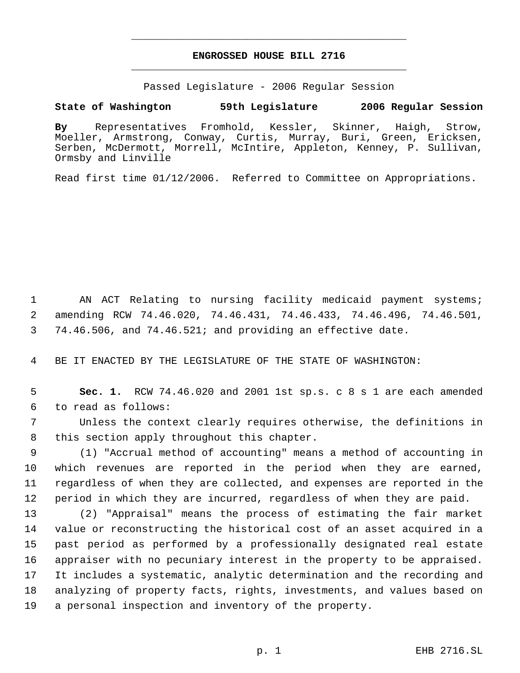# **ENGROSSED HOUSE BILL 2716** \_\_\_\_\_\_\_\_\_\_\_\_\_\_\_\_\_\_\_\_\_\_\_\_\_\_\_\_\_\_\_\_\_\_\_\_\_\_\_\_\_\_\_\_\_

\_\_\_\_\_\_\_\_\_\_\_\_\_\_\_\_\_\_\_\_\_\_\_\_\_\_\_\_\_\_\_\_\_\_\_\_\_\_\_\_\_\_\_\_\_

Passed Legislature - 2006 Regular Session

## **State of Washington 59th Legislature 2006 Regular Session**

**By** Representatives Fromhold, Kessler, Skinner, Haigh, Strow, Moeller, Armstrong, Conway, Curtis, Murray, Buri, Green, Ericksen, Serben, McDermott, Morrell, McIntire, Appleton, Kenney, P. Sullivan, Ormsby and Linville

Read first time 01/12/2006. Referred to Committee on Appropriations.

 AN ACT Relating to nursing facility medicaid payment systems; amending RCW 74.46.020, 74.46.431, 74.46.433, 74.46.496, 74.46.501, 74.46.506, and 74.46.521; and providing an effective date.

BE IT ENACTED BY THE LEGISLATURE OF THE STATE OF WASHINGTON:

 **Sec. 1.** RCW 74.46.020 and 2001 1st sp.s. c 8 s 1 are each amended to read as follows:

 Unless the context clearly requires otherwise, the definitions in this section apply throughout this chapter.

 (1) "Accrual method of accounting" means a method of accounting in which revenues are reported in the period when they are earned, regardless of when they are collected, and expenses are reported in the period in which they are incurred, regardless of when they are paid.

 (2) "Appraisal" means the process of estimating the fair market value or reconstructing the historical cost of an asset acquired in a past period as performed by a professionally designated real estate appraiser with no pecuniary interest in the property to be appraised. It includes a systematic, analytic determination and the recording and analyzing of property facts, rights, investments, and values based on a personal inspection and inventory of the property.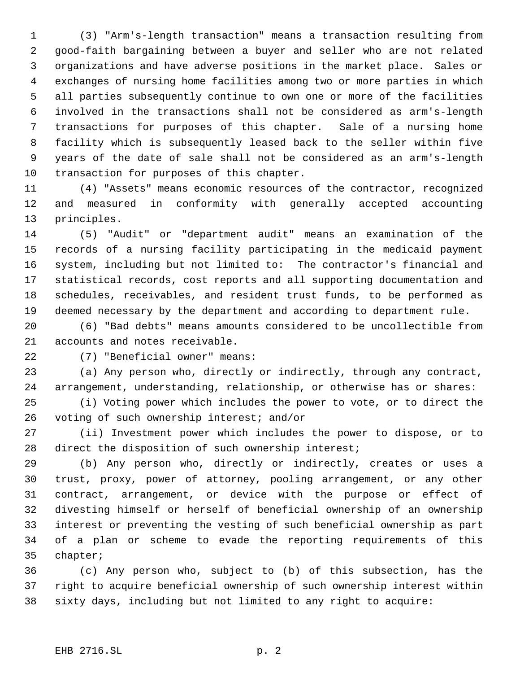(3) "Arm's-length transaction" means a transaction resulting from good-faith bargaining between a buyer and seller who are not related organizations and have adverse positions in the market place. Sales or exchanges of nursing home facilities among two or more parties in which all parties subsequently continue to own one or more of the facilities involved in the transactions shall not be considered as arm's-length transactions for purposes of this chapter. Sale of a nursing home facility which is subsequently leased back to the seller within five years of the date of sale shall not be considered as an arm's-length transaction for purposes of this chapter.

 (4) "Assets" means economic resources of the contractor, recognized and measured in conformity with generally accepted accounting principles.

 (5) "Audit" or "department audit" means an examination of the records of a nursing facility participating in the medicaid payment system, including but not limited to: The contractor's financial and statistical records, cost reports and all supporting documentation and schedules, receivables, and resident trust funds, to be performed as deemed necessary by the department and according to department rule.

 (6) "Bad debts" means amounts considered to be uncollectible from accounts and notes receivable.

(7) "Beneficial owner" means:

 (a) Any person who, directly or indirectly, through any contract, arrangement, understanding, relationship, or otherwise has or shares:

 (i) Voting power which includes the power to vote, or to direct the voting of such ownership interest; and/or

 (ii) Investment power which includes the power to dispose, or to 28 direct the disposition of such ownership interest;

 (b) Any person who, directly or indirectly, creates or uses a trust, proxy, power of attorney, pooling arrangement, or any other contract, arrangement, or device with the purpose or effect of divesting himself or herself of beneficial ownership of an ownership interest or preventing the vesting of such beneficial ownership as part of a plan or scheme to evade the reporting requirements of this chapter;

 (c) Any person who, subject to (b) of this subsection, has the right to acquire beneficial ownership of such ownership interest within sixty days, including but not limited to any right to acquire: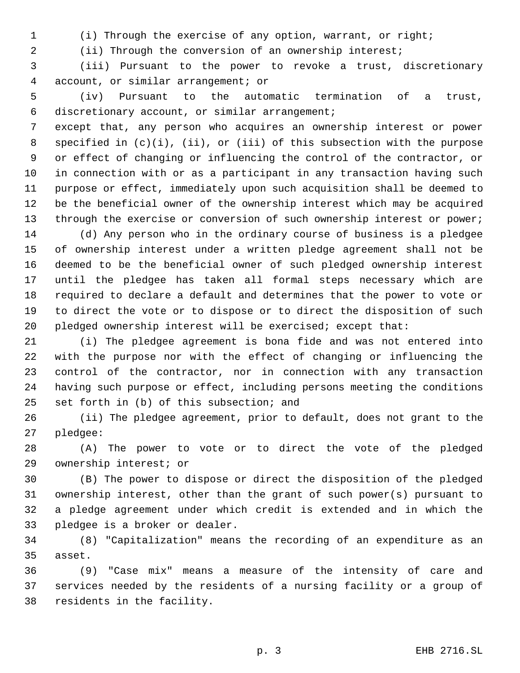(i) Through the exercise of any option, warrant, or right;

(ii) Through the conversion of an ownership interest;

 (iii) Pursuant to the power to revoke a trust, discretionary account, or similar arrangement; or

 (iv) Pursuant to the automatic termination of a trust, discretionary account, or similar arrangement;

 except that, any person who acquires an ownership interest or power specified in (c)(i), (ii), or (iii) of this subsection with the purpose or effect of changing or influencing the control of the contractor, or in connection with or as a participant in any transaction having such purpose or effect, immediately upon such acquisition shall be deemed to be the beneficial owner of the ownership interest which may be acquired 13 through the exercise or conversion of such ownership interest or power;

 (d) Any person who in the ordinary course of business is a pledgee of ownership interest under a written pledge agreement shall not be deemed to be the beneficial owner of such pledged ownership interest until the pledgee has taken all formal steps necessary which are required to declare a default and determines that the power to vote or to direct the vote or to dispose or to direct the disposition of such pledged ownership interest will be exercised; except that:

 (i) The pledgee agreement is bona fide and was not entered into with the purpose nor with the effect of changing or influencing the control of the contractor, nor in connection with any transaction having such purpose or effect, including persons meeting the conditions set forth in (b) of this subsection; and

 (ii) The pledgee agreement, prior to default, does not grant to the pledgee:

 (A) The power to vote or to direct the vote of the pledged ownership interest; or

 (B) The power to dispose or direct the disposition of the pledged ownership interest, other than the grant of such power(s) pursuant to a pledge agreement under which credit is extended and in which the pledgee is a broker or dealer.

 (8) "Capitalization" means the recording of an expenditure as an asset.

 (9) "Case mix" means a measure of the intensity of care and services needed by the residents of a nursing facility or a group of residents in the facility.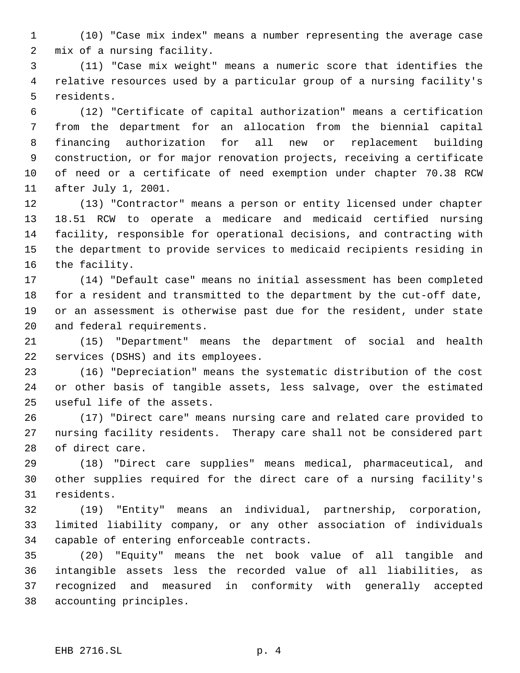(10) "Case mix index" means a number representing the average case mix of a nursing facility.

 (11) "Case mix weight" means a numeric score that identifies the relative resources used by a particular group of a nursing facility's residents.

 (12) "Certificate of capital authorization" means a certification from the department for an allocation from the biennial capital financing authorization for all new or replacement building construction, or for major renovation projects, receiving a certificate of need or a certificate of need exemption under chapter 70.38 RCW after July 1, 2001.

 (13) "Contractor" means a person or entity licensed under chapter 18.51 RCW to operate a medicare and medicaid certified nursing facility, responsible for operational decisions, and contracting with the department to provide services to medicaid recipients residing in the facility.

 (14) "Default case" means no initial assessment has been completed for a resident and transmitted to the department by the cut-off date, or an assessment is otherwise past due for the resident, under state and federal requirements.

 (15) "Department" means the department of social and health services (DSHS) and its employees.

 (16) "Depreciation" means the systematic distribution of the cost or other basis of tangible assets, less salvage, over the estimated useful life of the assets.

 (17) "Direct care" means nursing care and related care provided to nursing facility residents. Therapy care shall not be considered part of direct care.

 (18) "Direct care supplies" means medical, pharmaceutical, and other supplies required for the direct care of a nursing facility's residents.

 (19) "Entity" means an individual, partnership, corporation, limited liability company, or any other association of individuals capable of entering enforceable contracts.

 (20) "Equity" means the net book value of all tangible and intangible assets less the recorded value of all liabilities, as recognized and measured in conformity with generally accepted accounting principles.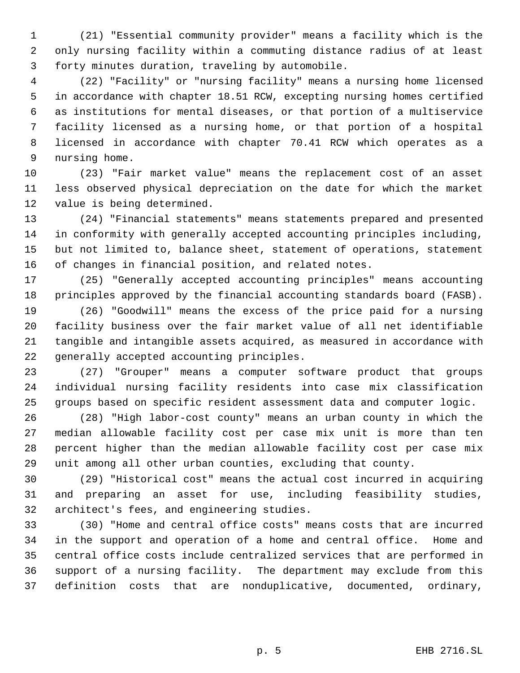(21) "Essential community provider" means a facility which is the only nursing facility within a commuting distance radius of at least forty minutes duration, traveling by automobile.

 (22) "Facility" or "nursing facility" means a nursing home licensed in accordance with chapter 18.51 RCW, excepting nursing homes certified as institutions for mental diseases, or that portion of a multiservice facility licensed as a nursing home, or that portion of a hospital licensed in accordance with chapter 70.41 RCW which operates as a nursing home.

 (23) "Fair market value" means the replacement cost of an asset less observed physical depreciation on the date for which the market value is being determined.

 (24) "Financial statements" means statements prepared and presented in conformity with generally accepted accounting principles including, but not limited to, balance sheet, statement of operations, statement of changes in financial position, and related notes.

 (25) "Generally accepted accounting principles" means accounting principles approved by the financial accounting standards board (FASB).

 (26) "Goodwill" means the excess of the price paid for a nursing facility business over the fair market value of all net identifiable tangible and intangible assets acquired, as measured in accordance with generally accepted accounting principles.

 (27) "Grouper" means a computer software product that groups individual nursing facility residents into case mix classification groups based on specific resident assessment data and computer logic.

 (28) "High labor-cost county" means an urban county in which the median allowable facility cost per case mix unit is more than ten percent higher than the median allowable facility cost per case mix unit among all other urban counties, excluding that county.

 (29) "Historical cost" means the actual cost incurred in acquiring and preparing an asset for use, including feasibility studies, architect's fees, and engineering studies.

 (30) "Home and central office costs" means costs that are incurred in the support and operation of a home and central office. Home and central office costs include centralized services that are performed in support of a nursing facility. The department may exclude from this definition costs that are nonduplicative, documented, ordinary,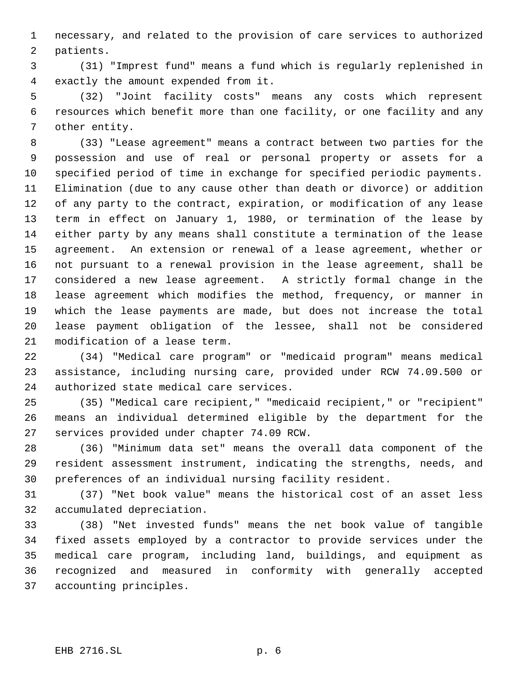necessary, and related to the provision of care services to authorized patients.

 (31) "Imprest fund" means a fund which is regularly replenished in exactly the amount expended from it.

 (32) "Joint facility costs" means any costs which represent resources which benefit more than one facility, or one facility and any other entity.

 (33) "Lease agreement" means a contract between two parties for the possession and use of real or personal property or assets for a specified period of time in exchange for specified periodic payments. Elimination (due to any cause other than death or divorce) or addition of any party to the contract, expiration, or modification of any lease term in effect on January 1, 1980, or termination of the lease by either party by any means shall constitute a termination of the lease agreement. An extension or renewal of a lease agreement, whether or not pursuant to a renewal provision in the lease agreement, shall be considered a new lease agreement. A strictly formal change in the lease agreement which modifies the method, frequency, or manner in which the lease payments are made, but does not increase the total lease payment obligation of the lessee, shall not be considered modification of a lease term.

 (34) "Medical care program" or "medicaid program" means medical assistance, including nursing care, provided under RCW 74.09.500 or authorized state medical care services.

 (35) "Medical care recipient," "medicaid recipient," or "recipient" means an individual determined eligible by the department for the services provided under chapter 74.09 RCW.

 (36) "Minimum data set" means the overall data component of the resident assessment instrument, indicating the strengths, needs, and preferences of an individual nursing facility resident.

 (37) "Net book value" means the historical cost of an asset less accumulated depreciation.

 (38) "Net invested funds" means the net book value of tangible fixed assets employed by a contractor to provide services under the medical care program, including land, buildings, and equipment as recognized and measured in conformity with generally accepted accounting principles.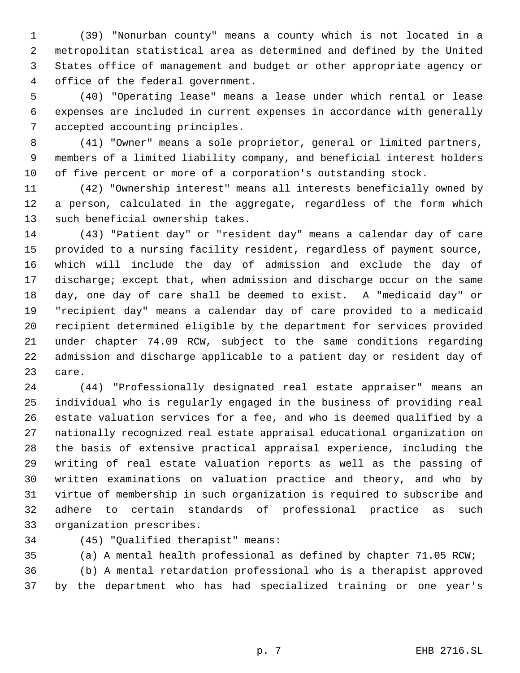(39) "Nonurban county" means a county which is not located in a metropolitan statistical area as determined and defined by the United States office of management and budget or other appropriate agency or office of the federal government.

 (40) "Operating lease" means a lease under which rental or lease expenses are included in current expenses in accordance with generally accepted accounting principles.

 (41) "Owner" means a sole proprietor, general or limited partners, members of a limited liability company, and beneficial interest holders of five percent or more of a corporation's outstanding stock.

 (42) "Ownership interest" means all interests beneficially owned by a person, calculated in the aggregate, regardless of the form which such beneficial ownership takes.

 (43) "Patient day" or "resident day" means a calendar day of care provided to a nursing facility resident, regardless of payment source, which will include the day of admission and exclude the day of discharge; except that, when admission and discharge occur on the same day, one day of care shall be deemed to exist. A "medicaid day" or "recipient day" means a calendar day of care provided to a medicaid recipient determined eligible by the department for services provided under chapter 74.09 RCW, subject to the same conditions regarding admission and discharge applicable to a patient day or resident day of care.

 (44) "Professionally designated real estate appraiser" means an individual who is regularly engaged in the business of providing real estate valuation services for a fee, and who is deemed qualified by a nationally recognized real estate appraisal educational organization on the basis of extensive practical appraisal experience, including the writing of real estate valuation reports as well as the passing of written examinations on valuation practice and theory, and who by virtue of membership in such organization is required to subscribe and adhere to certain standards of professional practice as such organization prescribes.

(45) "Qualified therapist" means:

(a) A mental health professional as defined by chapter 71.05 RCW;

 (b) A mental retardation professional who is a therapist approved by the department who has had specialized training or one year's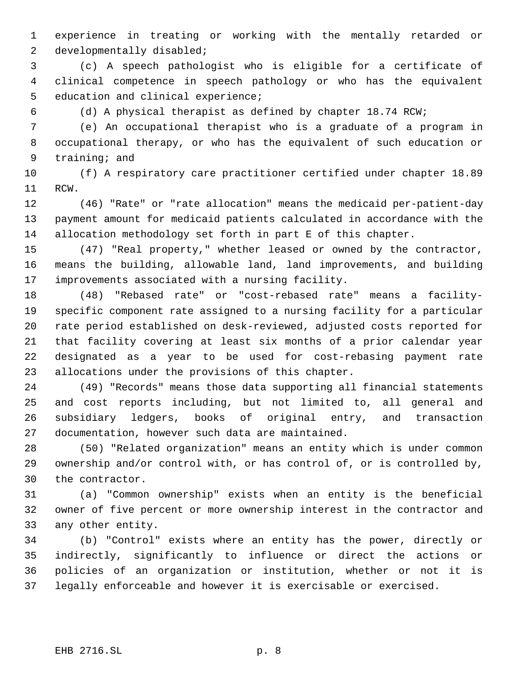experience in treating or working with the mentally retarded or developmentally disabled;

 (c) A speech pathologist who is eligible for a certificate of clinical competence in speech pathology or who has the equivalent education and clinical experience;

(d) A physical therapist as defined by chapter 18.74 RCW;

 (e) An occupational therapist who is a graduate of a program in occupational therapy, or who has the equivalent of such education or training; and

 (f) A respiratory care practitioner certified under chapter 18.89 RCW.

 (46) "Rate" or "rate allocation" means the medicaid per-patient-day payment amount for medicaid patients calculated in accordance with the allocation methodology set forth in part E of this chapter.

 (47) "Real property," whether leased or owned by the contractor, means the building, allowable land, land improvements, and building improvements associated with a nursing facility.

 (48) "Rebased rate" or "cost-rebased rate" means a facility- specific component rate assigned to a nursing facility for a particular rate period established on desk-reviewed, adjusted costs reported for that facility covering at least six months of a prior calendar year designated as a year to be used for cost-rebasing payment rate allocations under the provisions of this chapter.

 (49) "Records" means those data supporting all financial statements and cost reports including, but not limited to, all general and subsidiary ledgers, books of original entry, and transaction documentation, however such data are maintained.

 (50) "Related organization" means an entity which is under common ownership and/or control with, or has control of, or is controlled by, the contractor.

 (a) "Common ownership" exists when an entity is the beneficial owner of five percent or more ownership interest in the contractor and any other entity.

 (b) "Control" exists where an entity has the power, directly or indirectly, significantly to influence or direct the actions or policies of an organization or institution, whether or not it is legally enforceable and however it is exercisable or exercised.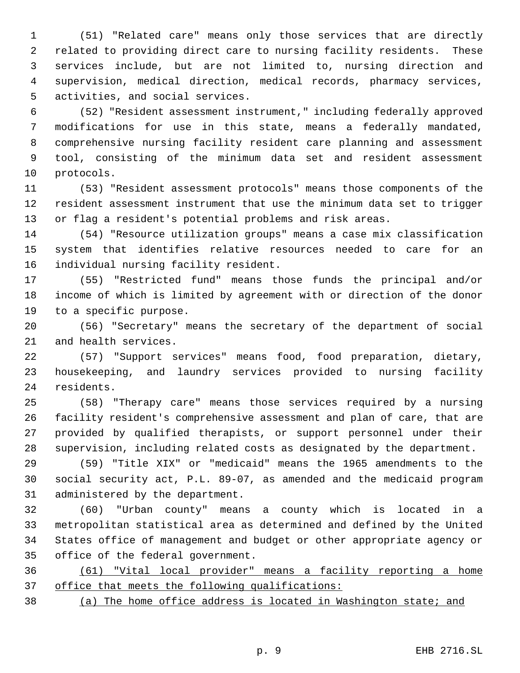(51) "Related care" means only those services that are directly related to providing direct care to nursing facility residents. These services include, but are not limited to, nursing direction and supervision, medical direction, medical records, pharmacy services, activities, and social services.

 (52) "Resident assessment instrument," including federally approved modifications for use in this state, means a federally mandated, comprehensive nursing facility resident care planning and assessment tool, consisting of the minimum data set and resident assessment protocols.

 (53) "Resident assessment protocols" means those components of the resident assessment instrument that use the minimum data set to trigger or flag a resident's potential problems and risk areas.

 (54) "Resource utilization groups" means a case mix classification system that identifies relative resources needed to care for an individual nursing facility resident.

 (55) "Restricted fund" means those funds the principal and/or income of which is limited by agreement with or direction of the donor to a specific purpose.

 (56) "Secretary" means the secretary of the department of social and health services.

 (57) "Support services" means food, food preparation, dietary, housekeeping, and laundry services provided to nursing facility residents.

 (58) "Therapy care" means those services required by a nursing facility resident's comprehensive assessment and plan of care, that are provided by qualified therapists, or support personnel under their supervision, including related costs as designated by the department.

 (59) "Title XIX" or "medicaid" means the 1965 amendments to the social security act, P.L. 89-07, as amended and the medicaid program administered by the department.

 (60) "Urban county" means a county which is located in a metropolitan statistical area as determined and defined by the United States office of management and budget or other appropriate agency or office of the federal government.

 (61) "Vital local provider" means a facility reporting a home 37 office that meets the following qualifications:

(a) The home office address is located in Washington state; and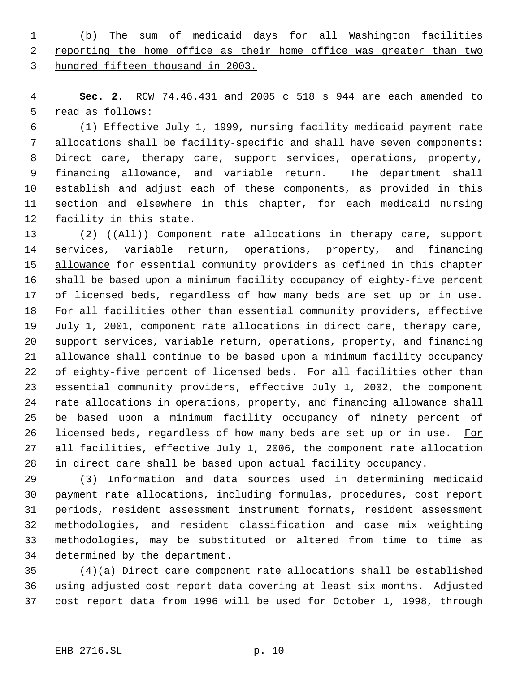(b) The sum of medicaid days for all Washington facilities 2 reporting the home office as their home office was greater than two hundred fifteen thousand in 2003.

 **Sec. 2.** RCW 74.46.431 and 2005 c 518 s 944 are each amended to read as follows:

 (1) Effective July 1, 1999, nursing facility medicaid payment rate allocations shall be facility-specific and shall have seven components: Direct care, therapy care, support services, operations, property, financing allowance, and variable return. The department shall establish and adjust each of these components, as provided in this section and elsewhere in this chapter, for each medicaid nursing facility in this state.

13 (2) ((AH)) Component rate allocations in therapy care, support services, variable return, operations, property, and financing 15 allowance for essential community providers as defined in this chapter shall be based upon a minimum facility occupancy of eighty-five percent of licensed beds, regardless of how many beds are set up or in use. For all facilities other than essential community providers, effective July 1, 2001, component rate allocations in direct care, therapy care, support services, variable return, operations, property, and financing allowance shall continue to be based upon a minimum facility occupancy of eighty-five percent of licensed beds. For all facilities other than essential community providers, effective July 1, 2002, the component rate allocations in operations, property, and financing allowance shall be based upon a minimum facility occupancy of ninety percent of 26 licensed beds, regardless of how many beds are set up or in use. For all facilities, effective July 1, 2006, the component rate allocation in direct care shall be based upon actual facility occupancy.

 (3) Information and data sources used in determining medicaid payment rate allocations, including formulas, procedures, cost report periods, resident assessment instrument formats, resident assessment methodologies, and resident classification and case mix weighting methodologies, may be substituted or altered from time to time as determined by the department.

 (4)(a) Direct care component rate allocations shall be established using adjusted cost report data covering at least six months. Adjusted cost report data from 1996 will be used for October 1, 1998, through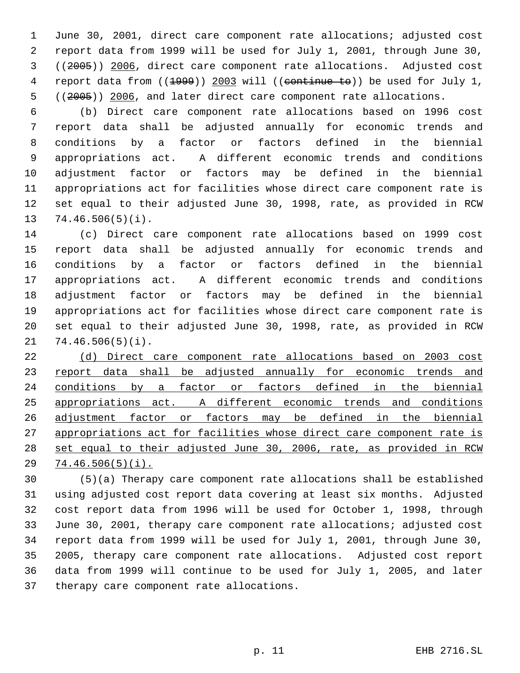June 30, 2001, direct care component rate allocations; adjusted cost report data from 1999 will be used for July 1, 2001, through June 30, ((2005)) 2006, direct care component rate allocations. Adjusted cost 4 report data from ((1999)) 2003 will ((continue to)) be used for July 1, 5 ((2005)) 2006, and later direct care component rate allocations.

 (b) Direct care component rate allocations based on 1996 cost report data shall be adjusted annually for economic trends and conditions by a factor or factors defined in the biennial appropriations act. A different economic trends and conditions adjustment factor or factors may be defined in the biennial appropriations act for facilities whose direct care component rate is set equal to their adjusted June 30, 1998, rate, as provided in RCW 74.46.506(5)(i).

 (c) Direct care component rate allocations based on 1999 cost report data shall be adjusted annually for economic trends and conditions by a factor or factors defined in the biennial appropriations act. A different economic trends and conditions adjustment factor or factors may be defined in the biennial appropriations act for facilities whose direct care component rate is set equal to their adjusted June 30, 1998, rate, as provided in RCW 74.46.506(5)(i).

 (d) Direct care component rate allocations based on 2003 cost 23 report data shall be adjusted annually for economic trends and 24 conditions by a factor or factors defined in the biennial appropriations act. A different economic trends and conditions adjustment factor or factors may be defined in the biennial 27 appropriations act for facilities whose direct care component rate is set equal to their adjusted June 30, 2006, rate, as provided in RCW 74.46.506(5)(i).

 (5)(a) Therapy care component rate allocations shall be established using adjusted cost report data covering at least six months. Adjusted cost report data from 1996 will be used for October 1, 1998, through June 30, 2001, therapy care component rate allocations; adjusted cost report data from 1999 will be used for July 1, 2001, through June 30, 2005, therapy care component rate allocations. Adjusted cost report data from 1999 will continue to be used for July 1, 2005, and later therapy care component rate allocations.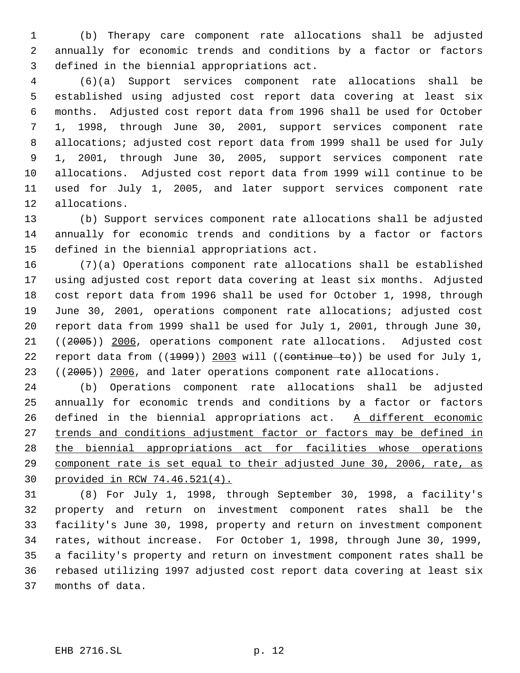(b) Therapy care component rate allocations shall be adjusted annually for economic trends and conditions by a factor or factors defined in the biennial appropriations act.

 (6)(a) Support services component rate allocations shall be established using adjusted cost report data covering at least six months. Adjusted cost report data from 1996 shall be used for October 1, 1998, through June 30, 2001, support services component rate allocations; adjusted cost report data from 1999 shall be used for July 1, 2001, through June 30, 2005, support services component rate allocations. Adjusted cost report data from 1999 will continue to be used for July 1, 2005, and later support services component rate allocations.

 (b) Support services component rate allocations shall be adjusted annually for economic trends and conditions by a factor or factors defined in the biennial appropriations act.

 (7)(a) Operations component rate allocations shall be established using adjusted cost report data covering at least six months. Adjusted cost report data from 1996 shall be used for October 1, 1998, through June 30, 2001, operations component rate allocations; adjusted cost report data from 1999 shall be used for July 1, 2001, through June 30, ((2005)) 2006, operations component rate allocations. Adjusted cost 22 report data from  $((1999))$  2003 will  $((\text{continue } \pm \Theta))$  be used for July 1, 23 ((2005)) 2006, and later operations component rate allocations.

 (b) Operations component rate allocations shall be adjusted annually for economic trends and conditions by a factor or factors 26 defined in the biennial appropriations act. A different economic 27 trends and conditions adjustment factor or factors may be defined in the biennial appropriations act for facilities whose operations component rate is set equal to their adjusted June 30, 2006, rate, as provided in RCW 74.46.521(4).

 (8) For July 1, 1998, through September 30, 1998, a facility's property and return on investment component rates shall be the facility's June 30, 1998, property and return on investment component rates, without increase. For October 1, 1998, through June 30, 1999, a facility's property and return on investment component rates shall be rebased utilizing 1997 adjusted cost report data covering at least six months of data.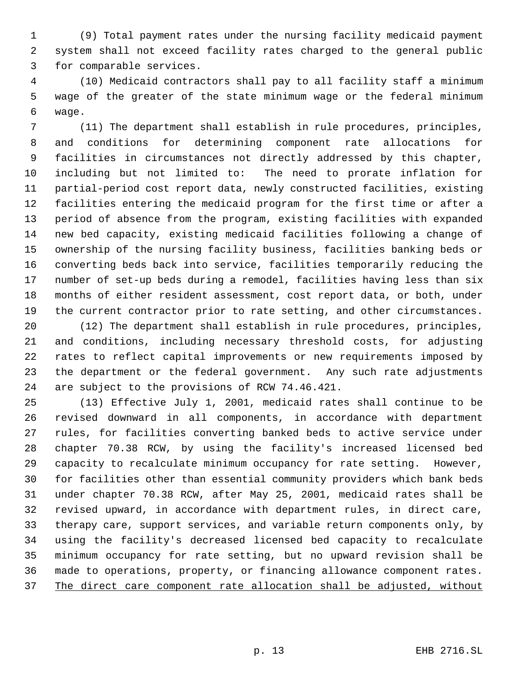(9) Total payment rates under the nursing facility medicaid payment system shall not exceed facility rates charged to the general public for comparable services.

 (10) Medicaid contractors shall pay to all facility staff a minimum wage of the greater of the state minimum wage or the federal minimum wage.

 (11) The department shall establish in rule procedures, principles, and conditions for determining component rate allocations for facilities in circumstances not directly addressed by this chapter, including but not limited to: The need to prorate inflation for partial-period cost report data, newly constructed facilities, existing facilities entering the medicaid program for the first time or after a period of absence from the program, existing facilities with expanded new bed capacity, existing medicaid facilities following a change of ownership of the nursing facility business, facilities banking beds or converting beds back into service, facilities temporarily reducing the number of set-up beds during a remodel, facilities having less than six months of either resident assessment, cost report data, or both, under the current contractor prior to rate setting, and other circumstances.

 (12) The department shall establish in rule procedures, principles, and conditions, including necessary threshold costs, for adjusting rates to reflect capital improvements or new requirements imposed by the department or the federal government. Any such rate adjustments are subject to the provisions of RCW 74.46.421.

 (13) Effective July 1, 2001, medicaid rates shall continue to be revised downward in all components, in accordance with department rules, for facilities converting banked beds to active service under chapter 70.38 RCW, by using the facility's increased licensed bed capacity to recalculate minimum occupancy for rate setting. However, for facilities other than essential community providers which bank beds under chapter 70.38 RCW, after May 25, 2001, medicaid rates shall be revised upward, in accordance with department rules, in direct care, therapy care, support services, and variable return components only, by using the facility's decreased licensed bed capacity to recalculate minimum occupancy for rate setting, but no upward revision shall be made to operations, property, or financing allowance component rates. The direct care component rate allocation shall be adjusted, without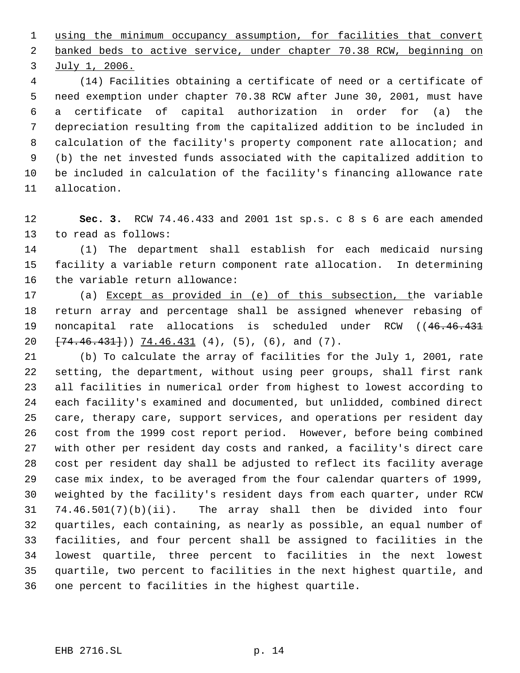using the minimum occupancy assumption, for facilities that convert banked beds to active service, under chapter 70.38 RCW, beginning on July 1, 2006.

 (14) Facilities obtaining a certificate of need or a certificate of need exemption under chapter 70.38 RCW after June 30, 2001, must have a certificate of capital authorization in order for (a) the depreciation resulting from the capitalized addition to be included in calculation of the facility's property component rate allocation; and (b) the net invested funds associated with the capitalized addition to be included in calculation of the facility's financing allowance rate allocation.

 **Sec. 3.** RCW 74.46.433 and 2001 1st sp.s. c 8 s 6 are each amended to read as follows:

 (1) The department shall establish for each medicaid nursing facility a variable return component rate allocation. In determining the variable return allowance:

 (a) Except as provided in (e) of this subsection, the variable return array and percentage shall be assigned whenever rebasing of 19 noncapital rate allocations is scheduled under RCW ((46.46.431)  $\{74.46.431\}$ ) 74.46.431 (4), (5), (6), and (7).

 (b) To calculate the array of facilities for the July 1, 2001, rate setting, the department, without using peer groups, shall first rank all facilities in numerical order from highest to lowest according to each facility's examined and documented, but unlidded, combined direct care, therapy care, support services, and operations per resident day cost from the 1999 cost report period. However, before being combined with other per resident day costs and ranked, a facility's direct care cost per resident day shall be adjusted to reflect its facility average case mix index, to be averaged from the four calendar quarters of 1999, weighted by the facility's resident days from each quarter, under RCW 74.46.501(7)(b)(ii). The array shall then be divided into four quartiles, each containing, as nearly as possible, an equal number of facilities, and four percent shall be assigned to facilities in the lowest quartile, three percent to facilities in the next lowest quartile, two percent to facilities in the next highest quartile, and one percent to facilities in the highest quartile.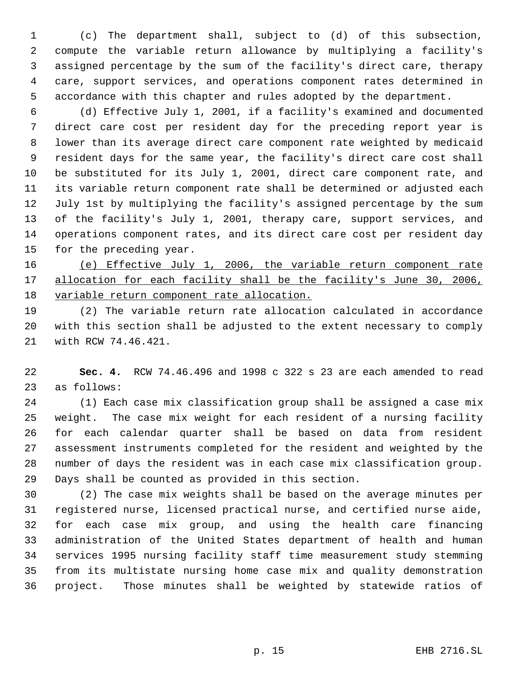(c) The department shall, subject to (d) of this subsection, compute the variable return allowance by multiplying a facility's assigned percentage by the sum of the facility's direct care, therapy care, support services, and operations component rates determined in accordance with this chapter and rules adopted by the department.

 (d) Effective July 1, 2001, if a facility's examined and documented direct care cost per resident day for the preceding report year is lower than its average direct care component rate weighted by medicaid resident days for the same year, the facility's direct care cost shall be substituted for its July 1, 2001, direct care component rate, and its variable return component rate shall be determined or adjusted each July 1st by multiplying the facility's assigned percentage by the sum of the facility's July 1, 2001, therapy care, support services, and operations component rates, and its direct care cost per resident day for the preceding year.

 (e) Effective July 1, 2006, the variable return component rate 17 allocation for each facility shall be the facility's June 30, 2006, variable return component rate allocation.

 (2) The variable return rate allocation calculated in accordance with this section shall be adjusted to the extent necessary to comply with RCW 74.46.421.

 **Sec. 4.** RCW 74.46.496 and 1998 c 322 s 23 are each amended to read as follows:

 (1) Each case mix classification group shall be assigned a case mix weight. The case mix weight for each resident of a nursing facility for each calendar quarter shall be based on data from resident assessment instruments completed for the resident and weighted by the number of days the resident was in each case mix classification group. Days shall be counted as provided in this section.

 (2) The case mix weights shall be based on the average minutes per registered nurse, licensed practical nurse, and certified nurse aide, for each case mix group, and using the health care financing administration of the United States department of health and human services 1995 nursing facility staff time measurement study stemming from its multistate nursing home case mix and quality demonstration project. Those minutes shall be weighted by statewide ratios of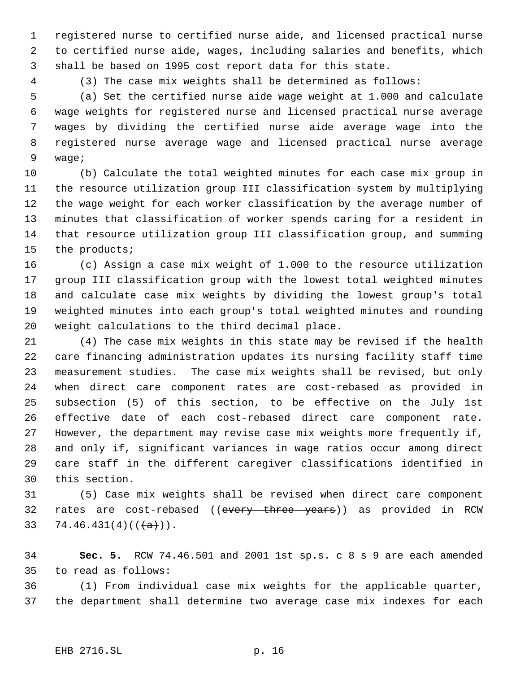registered nurse to certified nurse aide, and licensed practical nurse to certified nurse aide, wages, including salaries and benefits, which shall be based on 1995 cost report data for this state.

(3) The case mix weights shall be determined as follows:

 (a) Set the certified nurse aide wage weight at 1.000 and calculate wage weights for registered nurse and licensed practical nurse average wages by dividing the certified nurse aide average wage into the registered nurse average wage and licensed practical nurse average wage;

 (b) Calculate the total weighted minutes for each case mix group in the resource utilization group III classification system by multiplying the wage weight for each worker classification by the average number of minutes that classification of worker spends caring for a resident in that resource utilization group III classification group, and summing the products;

 (c) Assign a case mix weight of 1.000 to the resource utilization group III classification group with the lowest total weighted minutes and calculate case mix weights by dividing the lowest group's total weighted minutes into each group's total weighted minutes and rounding weight calculations to the third decimal place.

 (4) The case mix weights in this state may be revised if the health care financing administration updates its nursing facility staff time measurement studies. The case mix weights shall be revised, but only when direct care component rates are cost-rebased as provided in subsection (5) of this section, to be effective on the July 1st effective date of each cost-rebased direct care component rate. However, the department may revise case mix weights more frequently if, and only if, significant variances in wage ratios occur among direct care staff in the different caregiver classifications identified in this section.

 (5) Case mix weights shall be revised when direct care component 32 rates are cost-rebased ((every three years)) as provided in RCW 33 74.46.431(4)( $(\frac{+}{a})$ ).

 **Sec. 5.** RCW 74.46.501 and 2001 1st sp.s. c 8 s 9 are each amended to read as follows:

 (1) From individual case mix weights for the applicable quarter, the department shall determine two average case mix indexes for each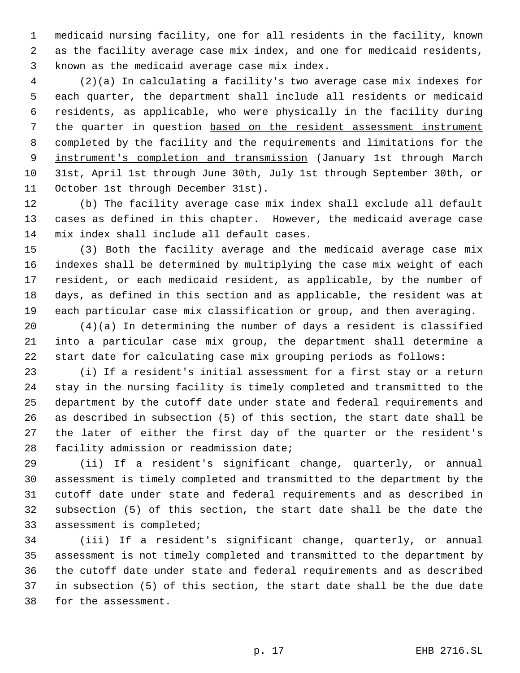medicaid nursing facility, one for all residents in the facility, known as the facility average case mix index, and one for medicaid residents, known as the medicaid average case mix index.

 (2)(a) In calculating a facility's two average case mix indexes for each quarter, the department shall include all residents or medicaid residents, as applicable, who were physically in the facility during the quarter in question based on the resident assessment instrument completed by the facility and the requirements and limitations for the 9 instrument's completion and transmission (January 1st through March 31st, April 1st through June 30th, July 1st through September 30th, or October 1st through December 31st).

 (b) The facility average case mix index shall exclude all default cases as defined in this chapter. However, the medicaid average case mix index shall include all default cases.

 (3) Both the facility average and the medicaid average case mix indexes shall be determined by multiplying the case mix weight of each resident, or each medicaid resident, as applicable, by the number of days, as defined in this section and as applicable, the resident was at each particular case mix classification or group, and then averaging.

 (4)(a) In determining the number of days a resident is classified into a particular case mix group, the department shall determine a start date for calculating case mix grouping periods as follows:

 (i) If a resident's initial assessment for a first stay or a return stay in the nursing facility is timely completed and transmitted to the department by the cutoff date under state and federal requirements and as described in subsection (5) of this section, the start date shall be the later of either the first day of the quarter or the resident's facility admission or readmission date;

 (ii) If a resident's significant change, quarterly, or annual assessment is timely completed and transmitted to the department by the cutoff date under state and federal requirements and as described in subsection (5) of this section, the start date shall be the date the assessment is completed;

 (iii) If a resident's significant change, quarterly, or annual assessment is not timely completed and transmitted to the department by the cutoff date under state and federal requirements and as described in subsection (5) of this section, the start date shall be the due date for the assessment.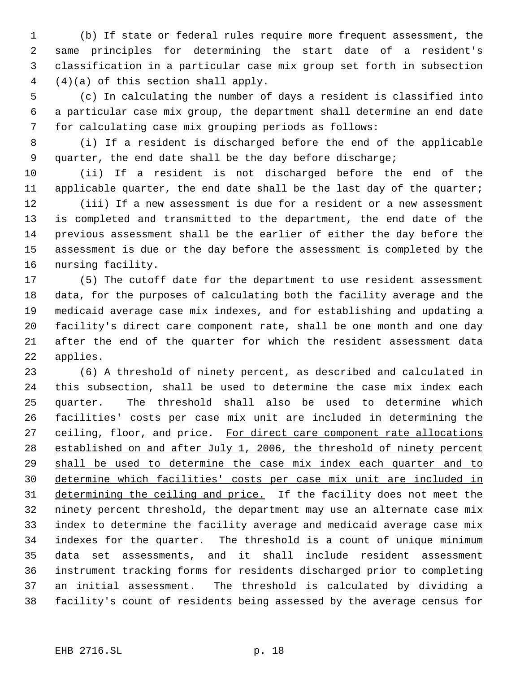(b) If state or federal rules require more frequent assessment, the same principles for determining the start date of a resident's classification in a particular case mix group set forth in subsection (4)(a) of this section shall apply.

 (c) In calculating the number of days a resident is classified into a particular case mix group, the department shall determine an end date for calculating case mix grouping periods as follows:

 (i) If a resident is discharged before the end of the applicable quarter, the end date shall be the day before discharge;

 (ii) If a resident is not discharged before the end of the applicable quarter, the end date shall be the last day of the quarter;

 (iii) If a new assessment is due for a resident or a new assessment is completed and transmitted to the department, the end date of the previous assessment shall be the earlier of either the day before the assessment is due or the day before the assessment is completed by the nursing facility.

 (5) The cutoff date for the department to use resident assessment data, for the purposes of calculating both the facility average and the medicaid average case mix indexes, and for establishing and updating a facility's direct care component rate, shall be one month and one day after the end of the quarter for which the resident assessment data applies.

 (6) A threshold of ninety percent, as described and calculated in this subsection, shall be used to determine the case mix index each quarter. The threshold shall also be used to determine which facilities' costs per case mix unit are included in determining the 27 ceiling, floor, and price. For direct care component rate allocations established on and after July 1, 2006, the threshold of ninety percent shall be used to determine the case mix index each quarter and to determine which facilities' costs per case mix unit are included in 31 determining the ceiling and price. If the facility does not meet the ninety percent threshold, the department may use an alternate case mix index to determine the facility average and medicaid average case mix indexes for the quarter. The threshold is a count of unique minimum data set assessments, and it shall include resident assessment instrument tracking forms for residents discharged prior to completing an initial assessment. The threshold is calculated by dividing a facility's count of residents being assessed by the average census for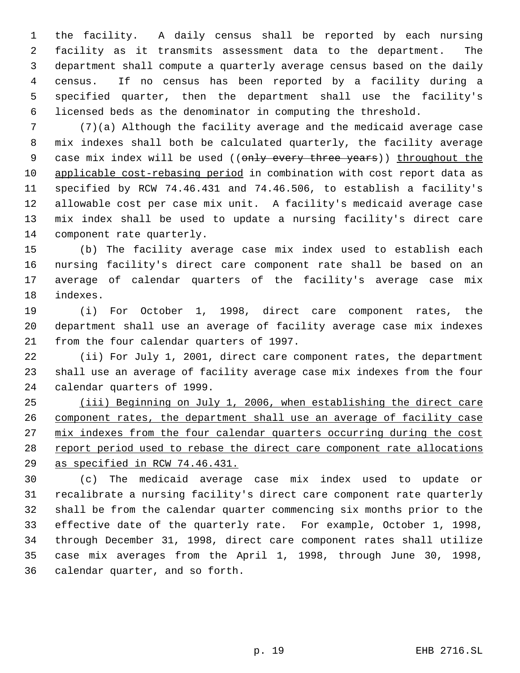the facility. A daily census shall be reported by each nursing facility as it transmits assessment data to the department. The department shall compute a quarterly average census based on the daily census. If no census has been reported by a facility during a specified quarter, then the department shall use the facility's licensed beds as the denominator in computing the threshold.

 (7)(a) Although the facility average and the medicaid average case mix indexes shall both be calculated quarterly, the facility average 9 case mix index will be used ((only every three years)) throughout the applicable cost-rebasing period in combination with cost report data as specified by RCW 74.46.431 and 74.46.506, to establish a facility's allowable cost per case mix unit. A facility's medicaid average case mix index shall be used to update a nursing facility's direct care component rate quarterly.

 (b) The facility average case mix index used to establish each nursing facility's direct care component rate shall be based on an average of calendar quarters of the facility's average case mix indexes.

 (i) For October 1, 1998, direct care component rates, the department shall use an average of facility average case mix indexes from the four calendar quarters of 1997.

 (ii) For July 1, 2001, direct care component rates, the department shall use an average of facility average case mix indexes from the four calendar quarters of 1999.

 (iii) Beginning on July 1, 2006, when establishing the direct care component rates, the department shall use an average of facility case 27 mix indexes from the four calendar quarters occurring during the cost 28 report period used to rebase the direct care component rate allocations as specified in RCW 74.46.431.

 (c) The medicaid average case mix index used to update or recalibrate a nursing facility's direct care component rate quarterly shall be from the calendar quarter commencing six months prior to the effective date of the quarterly rate. For example, October 1, 1998, through December 31, 1998, direct care component rates shall utilize case mix averages from the April 1, 1998, through June 30, 1998, calendar quarter, and so forth.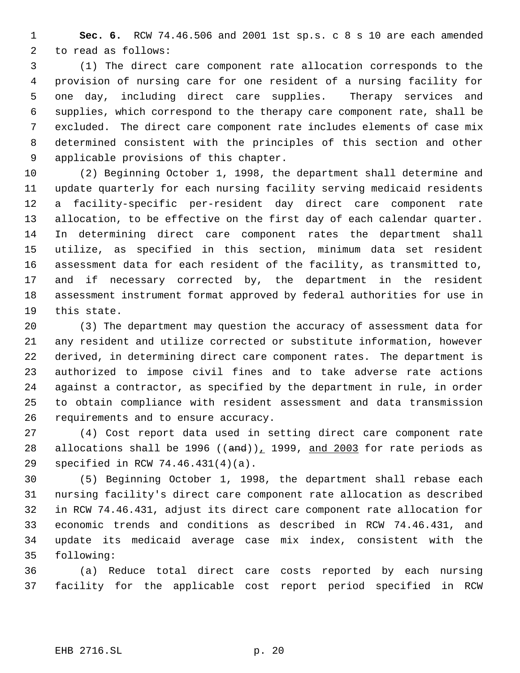**Sec. 6.** RCW 74.46.506 and 2001 1st sp.s. c 8 s 10 are each amended to read as follows:

 (1) The direct care component rate allocation corresponds to the provision of nursing care for one resident of a nursing facility for one day, including direct care supplies. Therapy services and supplies, which correspond to the therapy care component rate, shall be excluded. The direct care component rate includes elements of case mix determined consistent with the principles of this section and other applicable provisions of this chapter.

 (2) Beginning October 1, 1998, the department shall determine and update quarterly for each nursing facility serving medicaid residents a facility-specific per-resident day direct care component rate allocation, to be effective on the first day of each calendar quarter. In determining direct care component rates the department shall utilize, as specified in this section, minimum data set resident assessment data for each resident of the facility, as transmitted to, and if necessary corrected by, the department in the resident assessment instrument format approved by federal authorities for use in this state.

 (3) The department may question the accuracy of assessment data for any resident and utilize corrected or substitute information, however derived, in determining direct care component rates. The department is authorized to impose civil fines and to take adverse rate actions against a contractor, as specified by the department in rule, in order to obtain compliance with resident assessment and data transmission requirements and to ensure accuracy.

 (4) Cost report data used in setting direct care component rate 28 allocations shall be 1996 ( $(\text{and}))$ , 1999, and 2003 for rate periods as specified in RCW 74.46.431(4)(a).

 (5) Beginning October 1, 1998, the department shall rebase each nursing facility's direct care component rate allocation as described in RCW 74.46.431, adjust its direct care component rate allocation for economic trends and conditions as described in RCW 74.46.431, and update its medicaid average case mix index, consistent with the following:

 (a) Reduce total direct care costs reported by each nursing facility for the applicable cost report period specified in RCW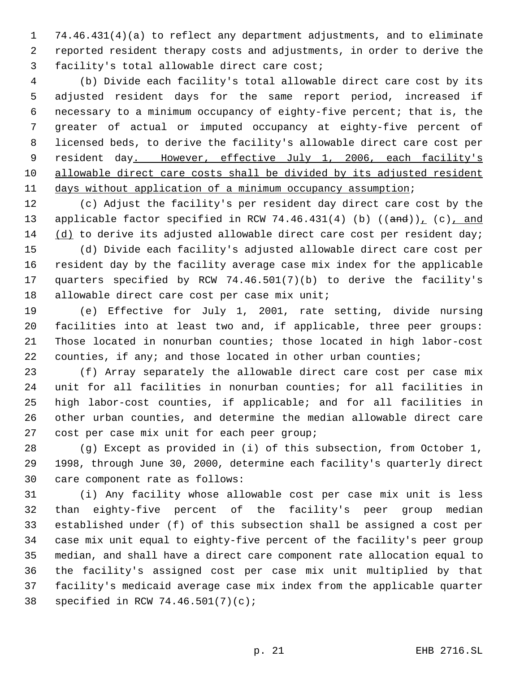74.46.431(4)(a) to reflect any department adjustments, and to eliminate reported resident therapy costs and adjustments, in order to derive the facility's total allowable direct care cost;

 (b) Divide each facility's total allowable direct care cost by its adjusted resident days for the same report period, increased if necessary to a minimum occupancy of eighty-five percent; that is, the greater of actual or imputed occupancy at eighty-five percent of licensed beds, to derive the facility's allowable direct care cost per 9 resident day. However, effective July 1, 2006, each facility's allowable direct care costs shall be divided by its adjusted resident days without application of a minimum occupancy assumption;

 (c) Adjust the facility's per resident day direct care cost by the 13 applicable factor specified in RCW 74.46.431(4) (b)  $((and))_L$  (c), and (d) to derive its adjusted allowable direct care cost per resident day;

 (d) Divide each facility's adjusted allowable direct care cost per resident day by the facility average case mix index for the applicable quarters specified by RCW 74.46.501(7)(b) to derive the facility's 18 allowable direct care cost per case mix unit;

 (e) Effective for July 1, 2001, rate setting, divide nursing facilities into at least two and, if applicable, three peer groups: Those located in nonurban counties; those located in high labor-cost 22 counties, if any; and those located in other urban counties;

 (f) Array separately the allowable direct care cost per case mix unit for all facilities in nonurban counties; for all facilities in high labor-cost counties, if applicable; and for all facilities in other urban counties, and determine the median allowable direct care cost per case mix unit for each peer group;

 (g) Except as provided in (i) of this subsection, from October 1, 1998, through June 30, 2000, determine each facility's quarterly direct care component rate as follows:

 (i) Any facility whose allowable cost per case mix unit is less than eighty-five percent of the facility's peer group median established under (f) of this subsection shall be assigned a cost per case mix unit equal to eighty-five percent of the facility's peer group median, and shall have a direct care component rate allocation equal to the facility's assigned cost per case mix unit multiplied by that facility's medicaid average case mix index from the applicable quarter specified in RCW 74.46.501(7)(c);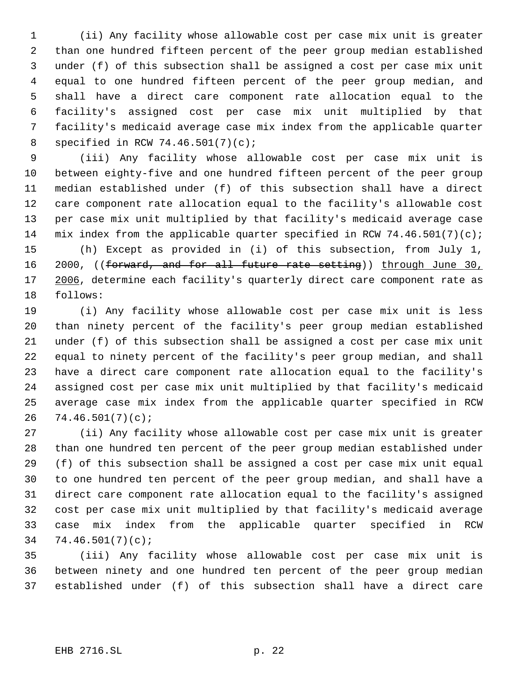(ii) Any facility whose allowable cost per case mix unit is greater than one hundred fifteen percent of the peer group median established under (f) of this subsection shall be assigned a cost per case mix unit equal to one hundred fifteen percent of the peer group median, and shall have a direct care component rate allocation equal to the facility's assigned cost per case mix unit multiplied by that facility's medicaid average case mix index from the applicable quarter specified in RCW 74.46.501(7)(c);

 (iii) Any facility whose allowable cost per case mix unit is between eighty-five and one hundred fifteen percent of the peer group median established under (f) of this subsection shall have a direct care component rate allocation equal to the facility's allowable cost per case mix unit multiplied by that facility's medicaid average case 14 mix index from the applicable quarter specified in RCW  $74.46.501(7)(c)$ ;

 (h) Except as provided in (i) of this subsection, from July 1, 16 2000, ((forward, and for all future rate setting)) through June 30, 17 2006, determine each facility's quarterly direct care component rate as follows:

 (i) Any facility whose allowable cost per case mix unit is less than ninety percent of the facility's peer group median established under (f) of this subsection shall be assigned a cost per case mix unit equal to ninety percent of the facility's peer group median, and shall have a direct care component rate allocation equal to the facility's assigned cost per case mix unit multiplied by that facility's medicaid average case mix index from the applicable quarter specified in RCW 74.46.501(7)(c);

 (ii) Any facility whose allowable cost per case mix unit is greater than one hundred ten percent of the peer group median established under (f) of this subsection shall be assigned a cost per case mix unit equal to one hundred ten percent of the peer group median, and shall have a direct care component rate allocation equal to the facility's assigned cost per case mix unit multiplied by that facility's medicaid average case mix index from the applicable quarter specified in RCW 74.46.501(7)(c);

 (iii) Any facility whose allowable cost per case mix unit is between ninety and one hundred ten percent of the peer group median established under (f) of this subsection shall have a direct care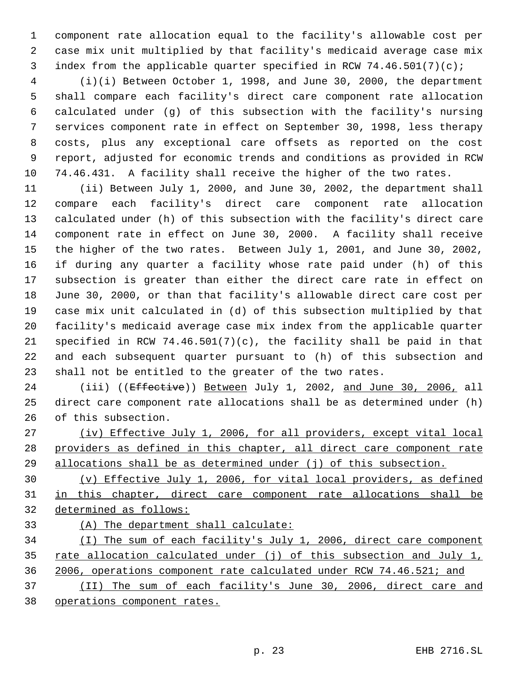component rate allocation equal to the facility's allowable cost per case mix unit multiplied by that facility's medicaid average case mix index from the applicable quarter specified in RCW 74.46.501(7)(c);

 (i)(i) Between October 1, 1998, and June 30, 2000, the department shall compare each facility's direct care component rate allocation calculated under (g) of this subsection with the facility's nursing services component rate in effect on September 30, 1998, less therapy costs, plus any exceptional care offsets as reported on the cost report, adjusted for economic trends and conditions as provided in RCW 74.46.431. A facility shall receive the higher of the two rates.

 (ii) Between July 1, 2000, and June 30, 2002, the department shall compare each facility's direct care component rate allocation calculated under (h) of this subsection with the facility's direct care component rate in effect on June 30, 2000. A facility shall receive the higher of the two rates. Between July 1, 2001, and June 30, 2002, if during any quarter a facility whose rate paid under (h) of this subsection is greater than either the direct care rate in effect on June 30, 2000, or than that facility's allowable direct care cost per case mix unit calculated in (d) of this subsection multiplied by that facility's medicaid average case mix index from the applicable quarter 21 specified in RCW 74.46.501(7)(c), the facility shall be paid in that and each subsequent quarter pursuant to (h) of this subsection and shall not be entitled to the greater of the two rates.

24 (iii) ((Effective)) Between July 1, 2002, and June 30, 2006, all direct care component rate allocations shall be as determined under (h) of this subsection.

 (iv) Effective July 1, 2006, for all providers, except vital local providers as defined in this chapter, all direct care component rate allocations shall be as determined under (j) of this subsection.

 (v) Effective July 1, 2006, for vital local providers, as defined in this chapter, direct care component rate allocations shall be determined as follows:

(A) The department shall calculate:

 (I) The sum of each facility's July 1, 2006, direct care component 35 rate allocation calculated under (j) of this subsection and July 1, 2006, operations component rate calculated under RCW 74.46.521; and (II) The sum of each facility's June 30, 2006, direct care and

operations component rates.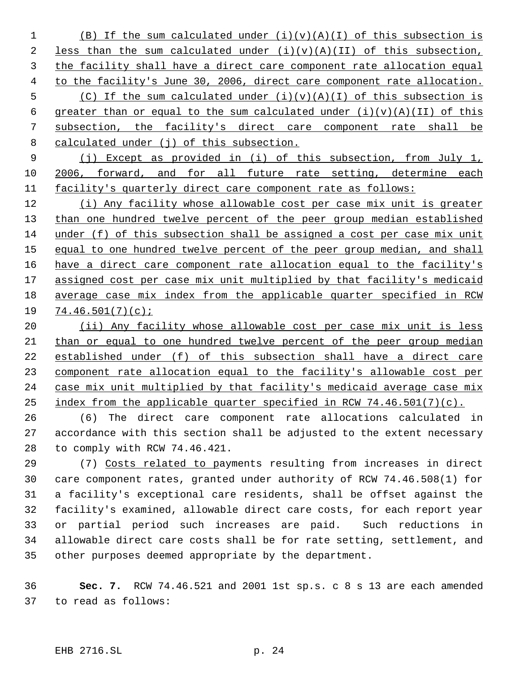1 (B) If the sum calculated under  $(i)(v)(A)(I)$  of this subsection is 2 less than the sum calculated under  $(i)(v)(A)(II)$  of this subsection, the facility shall have a direct care component rate allocation equal to the facility's June 30, 2006, direct care component rate allocation. 5 (C) If the sum calculated under  $(i)(v)(A)(I)$  of this subsection is 6 greater than or equal to the sum calculated under  $(i)(v)(A)(II)$  of this subsection, the facility's direct care component rate shall be 8 calculated under (j) of this subsection.

 (j) Except as provided in (i) of this subsection, from July 1, 2006, forward, and for all future rate setting, determine each facility's quarterly direct care component rate as follows:

 (i) Any facility whose allowable cost per case mix unit is greater 13 than one hundred twelve percent of the peer group median established under (f) of this subsection shall be assigned a cost per case mix unit 15 equal to one hundred twelve percent of the peer group median, and shall 16 have a direct care component rate allocation equal to the facility's 17 assigned cost per case mix unit multiplied by that facility's medicaid average case mix index from the applicable quarter specified in RCW 74.46.501(7)(c);

20 (ii) Any facility whose allowable cost per case mix unit is less than or equal to one hundred twelve percent of the peer group median established under (f) of this subsection shall have a direct care component rate allocation equal to the facility's allowable cost per case mix unit multiplied by that facility's medicaid average case mix index from the applicable quarter specified in RCW 74.46.501(7)(c).

 (6) The direct care component rate allocations calculated in accordance with this section shall be adjusted to the extent necessary to comply with RCW 74.46.421.

 (7) Costs related to payments resulting from increases in direct care component rates, granted under authority of RCW 74.46.508(1) for a facility's exceptional care residents, shall be offset against the facility's examined, allowable direct care costs, for each report year or partial period such increases are paid. Such reductions in allowable direct care costs shall be for rate setting, settlement, and other purposes deemed appropriate by the department.

 **Sec. 7.** RCW 74.46.521 and 2001 1st sp.s. c 8 s 13 are each amended to read as follows: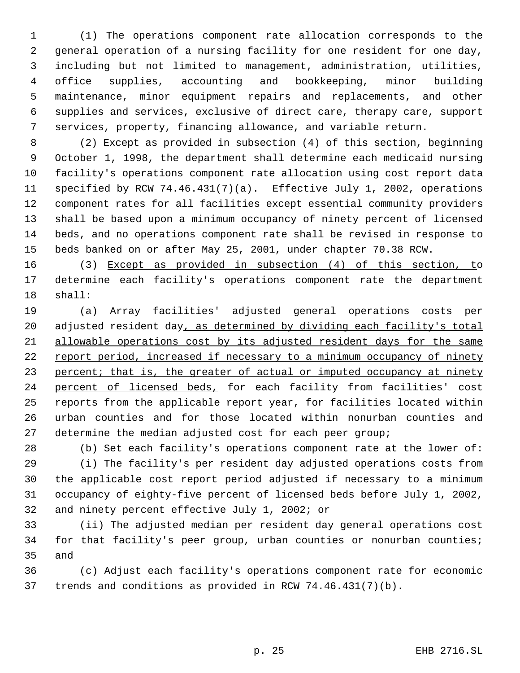(1) The operations component rate allocation corresponds to the general operation of a nursing facility for one resident for one day, including but not limited to management, administration, utilities, office supplies, accounting and bookkeeping, minor building maintenance, minor equipment repairs and replacements, and other supplies and services, exclusive of direct care, therapy care, support services, property, financing allowance, and variable return.

 (2) Except as provided in subsection (4) of this section, beginning October 1, 1998, the department shall determine each medicaid nursing facility's operations component rate allocation using cost report data specified by RCW 74.46.431(7)(a). Effective July 1, 2002, operations component rates for all facilities except essential community providers shall be based upon a minimum occupancy of ninety percent of licensed beds, and no operations component rate shall be revised in response to beds banked on or after May 25, 2001, under chapter 70.38 RCW.

 (3) Except as provided in subsection (4) of this section, to determine each facility's operations component rate the department shall:

 (a) Array facilities' adjusted general operations costs per 20 adjusted resident day, as determined by dividing each facility's total allowable operations cost by its adjusted resident days for the same report period, increased if necessary to a minimum occupancy of ninety 23 percent; that is, the greater of actual or imputed occupancy at ninety 24 percent of licensed beds, for each facility from facilities' cost reports from the applicable report year, for facilities located within urban counties and for those located within nonurban counties and determine the median adjusted cost for each peer group;

 (b) Set each facility's operations component rate at the lower of: (i) The facility's per resident day adjusted operations costs from the applicable cost report period adjusted if necessary to a minimum occupancy of eighty-five percent of licensed beds before July 1, 2002, and ninety percent effective July 1, 2002; or

 (ii) The adjusted median per resident day general operations cost for that facility's peer group, urban counties or nonurban counties; and

 (c) Adjust each facility's operations component rate for economic trends and conditions as provided in RCW 74.46.431(7)(b).